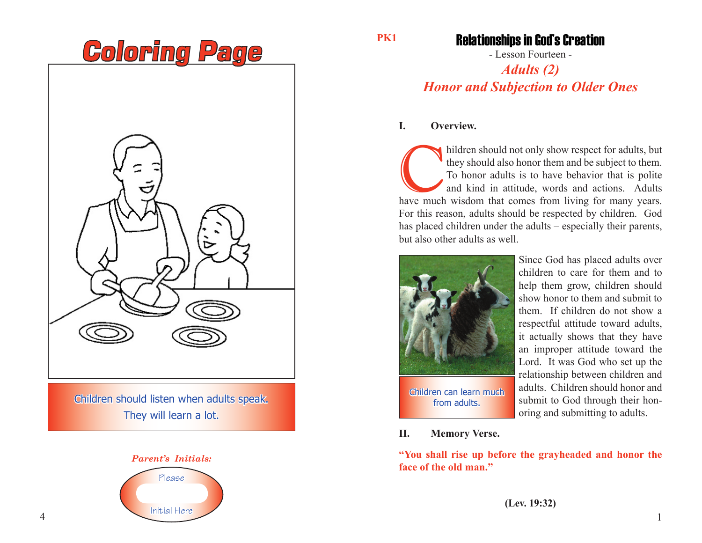

Children should listen when adults speak. They will learn a lot.



**PK1**

# Relationships in God's Creation

- Lesson Fourteen -

# *Adults (2) Honor and Subjection to Older Ones*

## **I. Overview.**

hildren should not only show respect for adults, but they should also honor them and be subject to them.<br>To honor adults is to have behavior that is polite and kind in attitude, words and actions. Adults have much wisdom t they should also honor them and be subject to them. To honor adults is to have behavior that is polite and kind in attitude, words and actions. Adults For this reason, adults should be respected by children. God has placed children under the adults – especially their parents, but also other adults as well.



Since God has placed adults over children to care for them and to help them grow, children should show honor to them and submit to them. If children do not show a respectful attitude toward adults, it actually shows that they have an improper attitude toward the Lord. It was God who set up the relationship between children and adults. Children should honor and submit to God through their honoring and submitting to adults.

**II. Memory Verse.**

**"You shall rise up before the grayheaded and honor the face of the old man."**